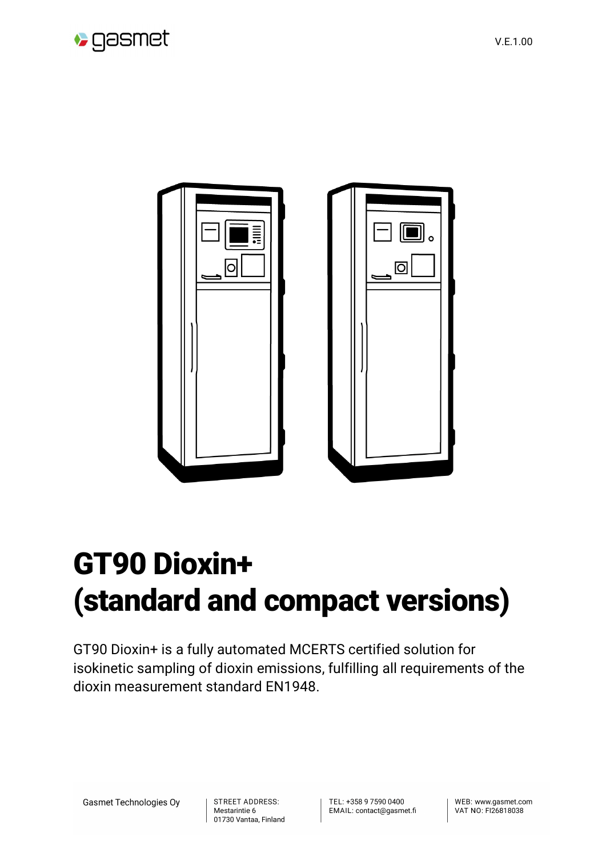



## GT90 Dioxin+ (standard and compact versions)

GT90 Dioxin+ is a fully automated MCERTS certified solution for isokinetic sampling of dioxin emissions, fulfilling all requirements of the dioxin measurement standard EN1948.

**Gasmet Technologies Oy** 

STREET ADDRESS: Mestarintie 6 01730 Vantaa, Finland TEL: +358 9 7590 0400 EMAIL: contact@gasmet.fi WEB: www.gasmet.com VAT NO: FI26818038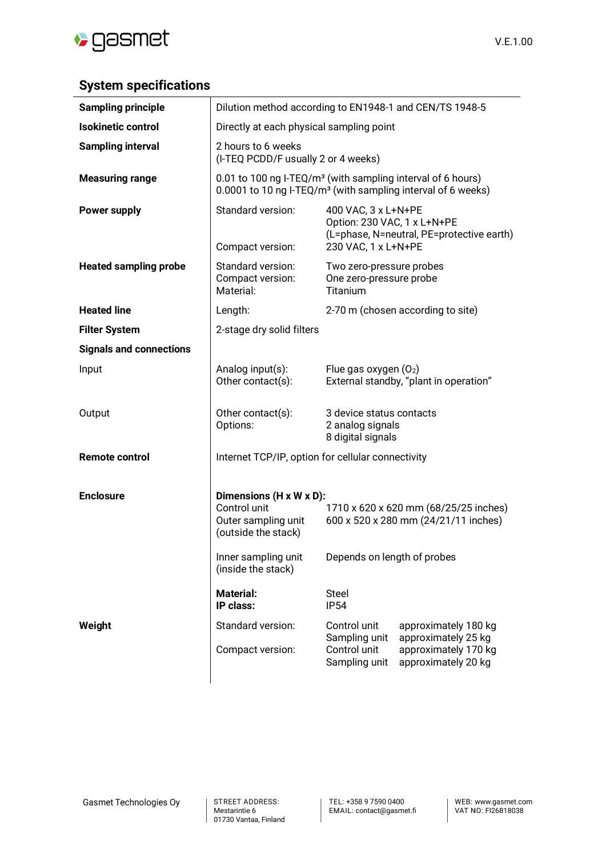

## **System specifications**

| <b>Sampling principle</b>      | Dilution method according to EN1948-1 and CEN/TS 1948-5                                                                                             |                                                                                                              |                                                                                            |  |
|--------------------------------|-----------------------------------------------------------------------------------------------------------------------------------------------------|--------------------------------------------------------------------------------------------------------------|--------------------------------------------------------------------------------------------|--|
| <b>Isokinetic control</b>      | Directly at each physical sampling point                                                                                                            |                                                                                                              |                                                                                            |  |
| <b>Sampling interval</b>       | 2 hours to 6 weeks<br>(I-TEQ PCDD/F usually 2 or 4 weeks)                                                                                           |                                                                                                              |                                                                                            |  |
| <b>Measuring range</b>         | 0.01 to 100 ng I-TEQ/m <sup>3</sup> (with sampling interval of 6 hours)<br>0.0001 to 10 ng I-TEQ/m <sup>3</sup> (with sampling interval of 6 weeks) |                                                                                                              |                                                                                            |  |
| <b>Power supply</b>            | Standard version:<br>Compact version:                                                                                                               | 400 VAC, 3 x L+N+PE<br>Option: 230 VAC, 1 x L+N+PE<br>230 VAC, 1 x L+N+PE                                    | (L=phase, N=neutral, PE=protective earth)                                                  |  |
| <b>Heated sampling probe</b>   | Standard version:<br>Compact version:<br>Material:                                                                                                  | Two zero-pressure probes<br>One zero-pressure probe<br>Titanium                                              |                                                                                            |  |
| <b>Heated line</b>             | Length:                                                                                                                                             | 2-70 m (chosen according to site)                                                                            |                                                                                            |  |
| <b>Filter System</b>           | 2-stage dry solid filters                                                                                                                           |                                                                                                              |                                                                                            |  |
| <b>Signals and connections</b> |                                                                                                                                                     |                                                                                                              |                                                                                            |  |
| Input                          | Analog input(s):<br>Other contact(s):                                                                                                               | Flue gas oxygen $(O_2)$<br>External standby, "plant in operation"                                            |                                                                                            |  |
| Output                         | Other contact(s):<br>Options:                                                                                                                       | 3 device status contacts<br>2 analog signals<br>8 digital signals                                            |                                                                                            |  |
| <b>Remote control</b>          | Internet TCP/IP, option for cellular connectivity                                                                                                   |                                                                                                              |                                                                                            |  |
| <b>Enclosure</b>               | Dimensions (H x W x D):<br>Control unit<br>Outer sampling unit<br>(outside the stack)<br>Inner sampling unit                                        | 1710 x 620 x 620 mm (68/25/25 inches)<br>600 x 520 x 280 mm (24/21/11 inches)<br>Depends on length of probes |                                                                                            |  |
|                                | (inside the stack)<br><b>Material:</b>                                                                                                              | Steel                                                                                                        |                                                                                            |  |
|                                | IP class:                                                                                                                                           | <b>IP54</b>                                                                                                  |                                                                                            |  |
| Weight                         | Standard version:<br>Compact version:                                                                                                               | Control unit<br>Sampling unit<br>Control unit<br>Sampling unit                                               | approximately 180 kg<br>approximately 25 kg<br>approximately 170 kg<br>approximately 20 kg |  |